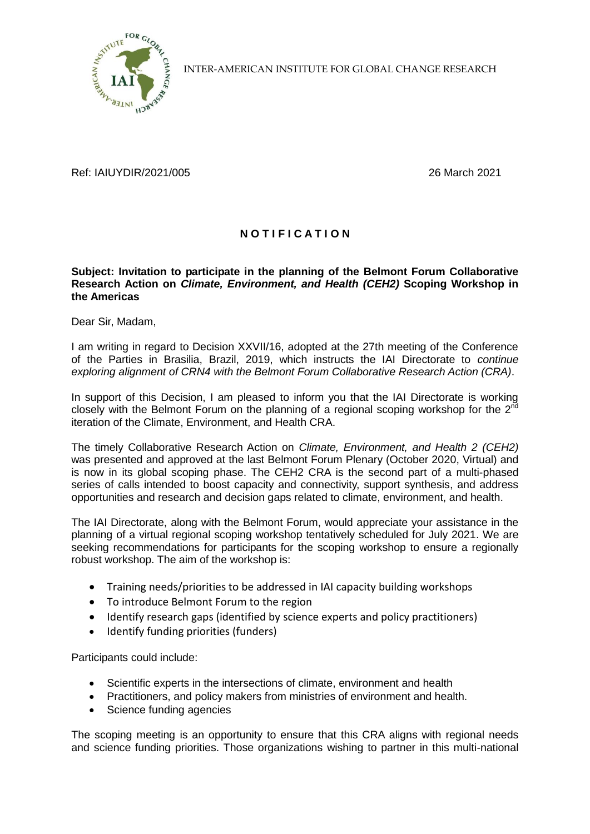

INTER-AMERICAN INSTITUTE FOR GLOBAL CHANGE RESEARCH

Ref: IAIUYDIR/2021/005 26 March 2021

## **N O T I F I C A T I O N**

## **Subject: Invitation to participate in the planning of the Belmont Forum Collaborative Research Action on** *Climate, Environment, and Health (CEH2)* **Scoping Workshop in the Americas**

Dear Sir, Madam,

I am writing in regard to Decision XXVII/16, adopted at the 27th meeting of the Conference of the Parties in Brasilia, Brazil, 2019, which instructs the IAI Directorate to *continue exploring alignment of CRN4 with the Belmont Forum Collaborative Research Action (CRA)*.

In support of this Decision, I am pleased to inform you that the IAI Directorate is working closely with the Belmont Forum on the planning of a regional scoping workshop for the  $2^{n\bar{d}}$ iteration of the Climate, Environment, and Health CRA.

The timely Collaborative Research Action on *Climate, Environment, and Health 2 (CEH2)* was presented and approved at the last Belmont Forum Plenary (October 2020, Virtual) and is now in its global scoping phase. The CEH2 CRA is the second part of a multi-phased series of calls intended to boost capacity and connectivity, support synthesis, and address opportunities and research and decision gaps related to climate, environment, and health.

The IAI Directorate, along with the Belmont Forum, would appreciate your assistance in the planning of a virtual regional scoping workshop tentatively scheduled for July 2021. We are seeking recommendations for participants for the scoping workshop to ensure a regionally robust workshop. The aim of the workshop is:

- Training needs/priorities to be addressed in IAI capacity building workshops
- To introduce Belmont Forum to the region
- Identify research gaps (identified by science experts and policy practitioners)
- Identify funding priorities (funders)

Participants could include:

- Scientific experts in the intersections of climate, environment and health
- Practitioners, and policy makers from ministries of environment and health.
- Science funding agencies

The scoping meeting is an opportunity to ensure that this CRA aligns with regional needs and science funding priorities. Those organizations wishing to partner in this multi-national